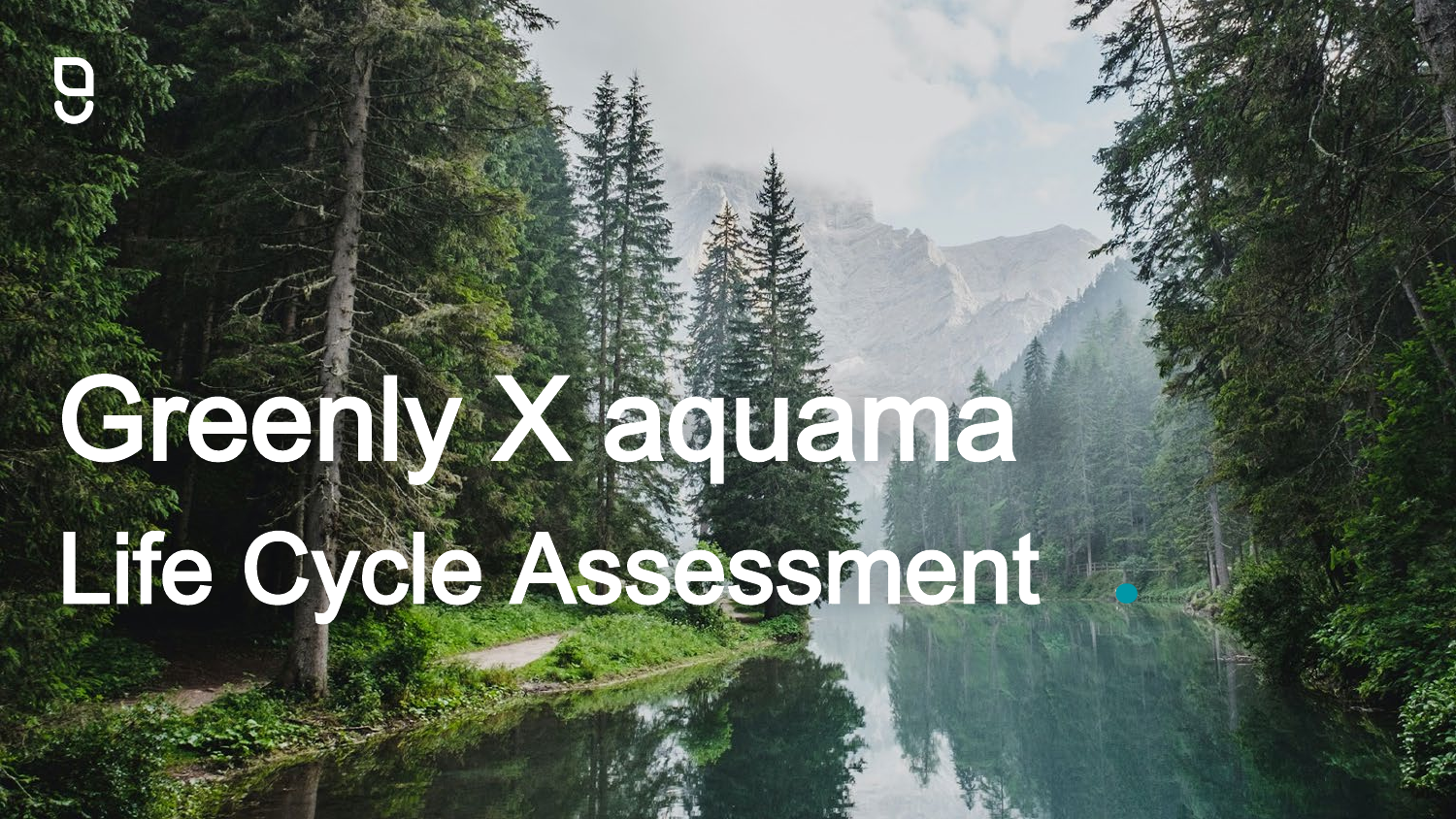# Greenly X aquama Life Cycle Assessment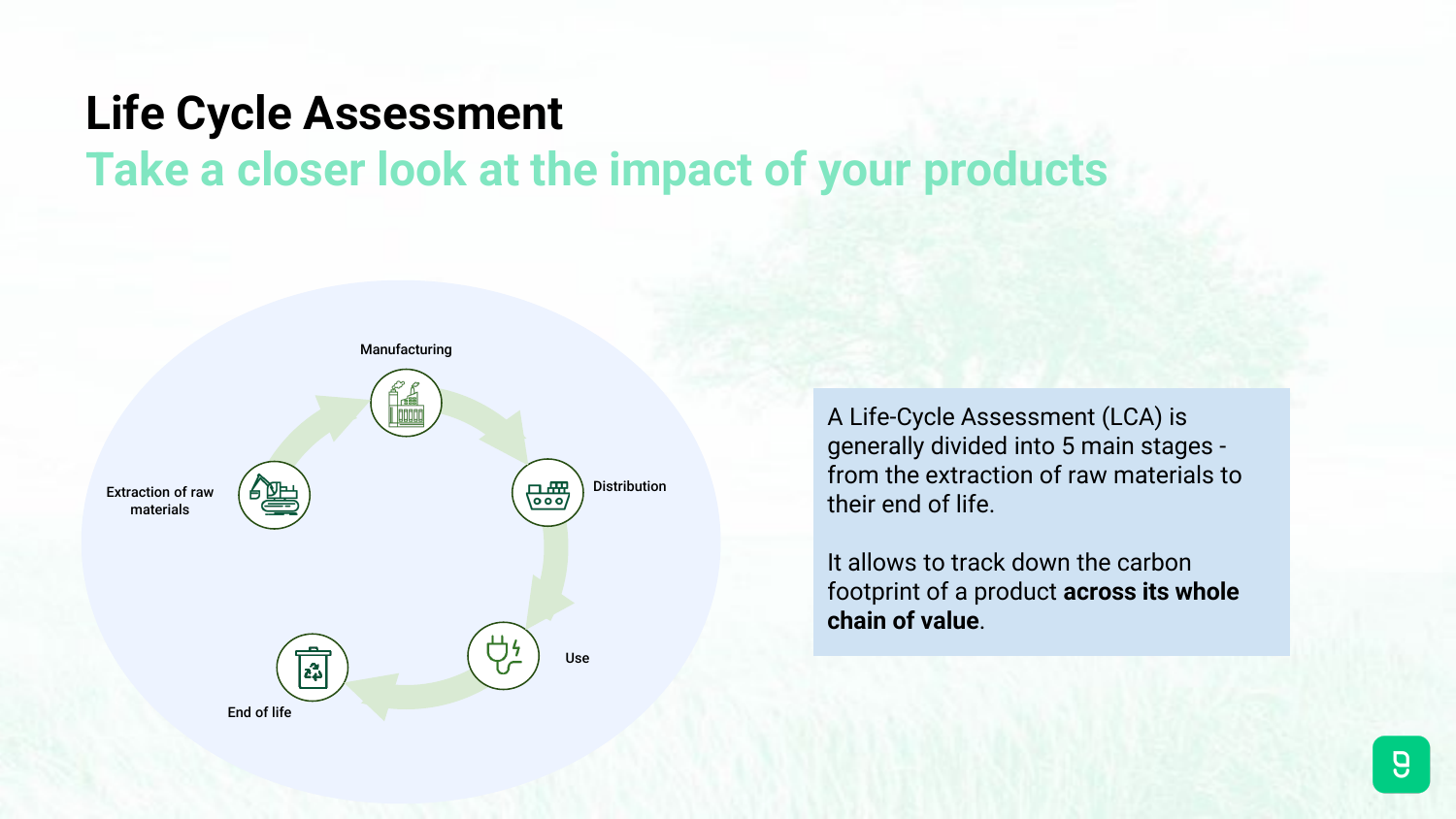#### **Life Cycle Assessment Take a closer look at the impact of your products**



A Life-Cycle Assessment (LCA) is generally divided into 5 main stages from the extraction of raw materials to their end of life.

It allows to track down the carbon footprint of a product **across its whole chain of value**.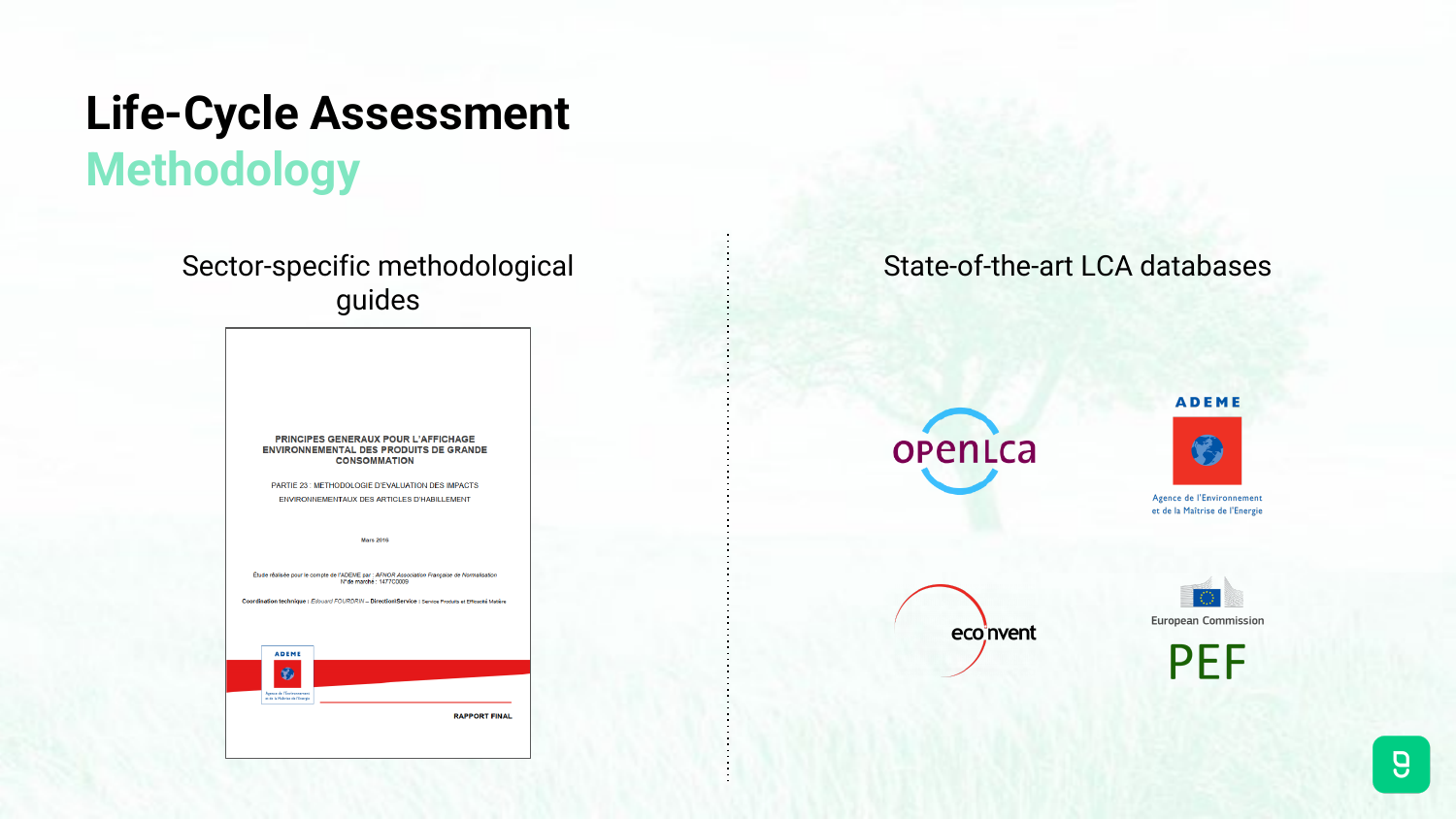#### **Life-Cycle Assessment Methodology**

Sector-specific methodological guides

> PRINCIPES GENERAUX POUR L'AFFICHAGE **ENVIRONNEMENTAL DES PRODUITS DE GRANDE CONSOMMATION**

PARTIE 23 : METHODOLOGIE D'EVALUATION DES IMPACTS ENVIRONNEMENTAUX DES ARTICLES D'HABILLEMENT

**Mars 2016** 

Étude réalisée pour le compte de l'ADEME par : AFNOR Association Française de Normalisation N°de marché : 1477C0009

Coordination technique: Edouard FOURDRIN - Direction\Service : Service Produits et Efficacité Matière



#### State-of-the-art LCA databases



**ADEME** 



Agence de l'Environnement et de la Maîtrise de l'Energie





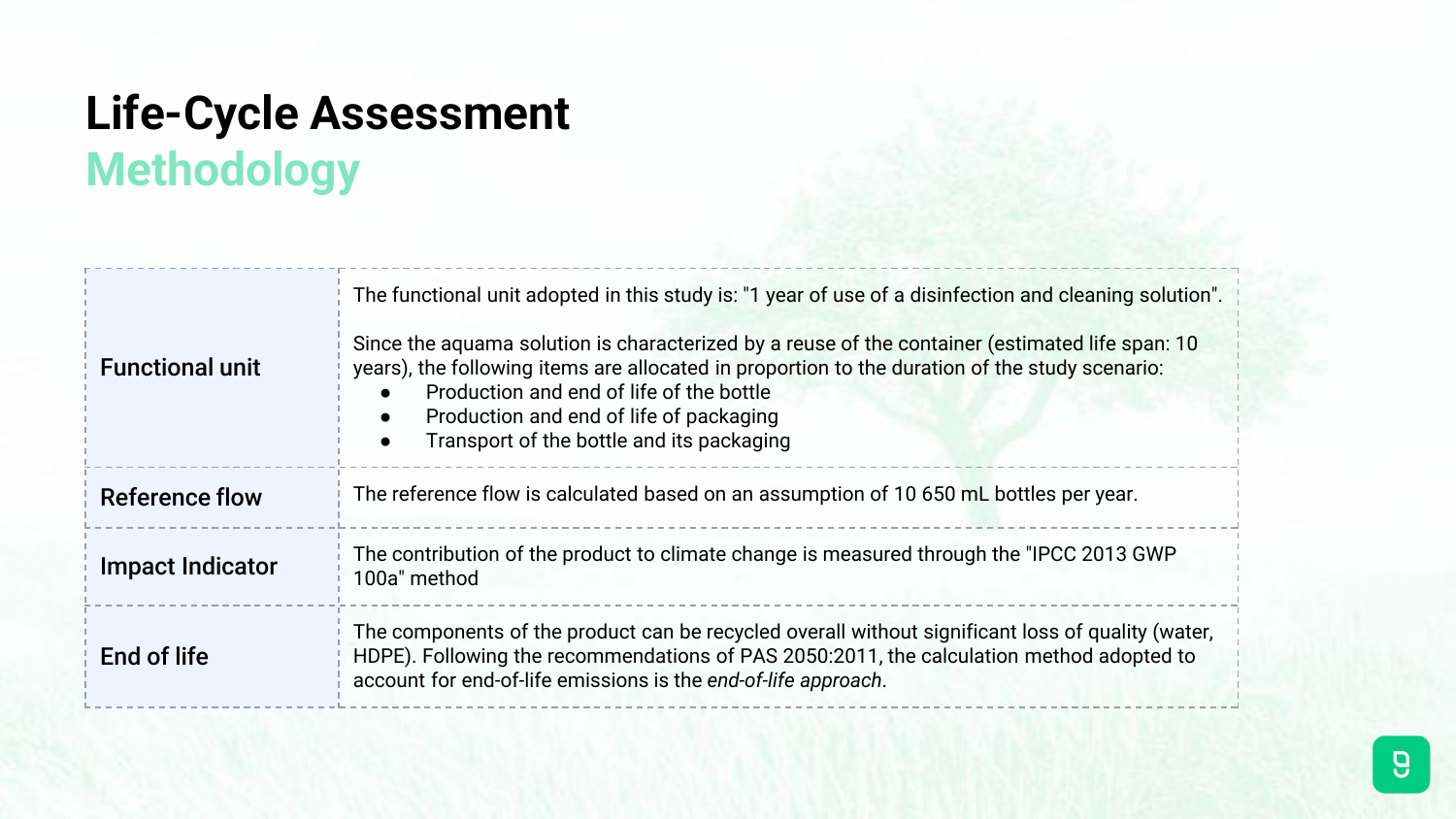# **Life-Cycle Assessment Methodology**

| <b>Functional unit</b>  | The functional unit adopted in this study is: "1 year of use of a disinfection and cleaning solution".<br>Since the aguama solution is characterized by a reuse of the container (estimated life span: 10<br>years), the following items are allocated in proportion to the duration of the study scenario:<br>Production and end of life of the bottle<br>Production and end of life of packaging<br>$\bullet$<br>Transport of the bottle and its packaging<br>$\bullet$ |  |
|-------------------------|---------------------------------------------------------------------------------------------------------------------------------------------------------------------------------------------------------------------------------------------------------------------------------------------------------------------------------------------------------------------------------------------------------------------------------------------------------------------------|--|
| <b>Reference flow</b>   | The reference flow is calculated based on an assumption of 10 650 mL bottles per year.                                                                                                                                                                                                                                                                                                                                                                                    |  |
| <b>Impact Indicator</b> | The contribution of the product to climate change is measured through the "IPCC 2013 GWP<br>100a" method                                                                                                                                                                                                                                                                                                                                                                  |  |
| End of life             | The components of the product can be recycled overall without significant loss of quality (water,<br>HDPE). Following the recommendations of PAS 2050:2011, the calculation method adopted to<br>account for end-of-life emissions is the end-of-life approach.                                                                                                                                                                                                           |  |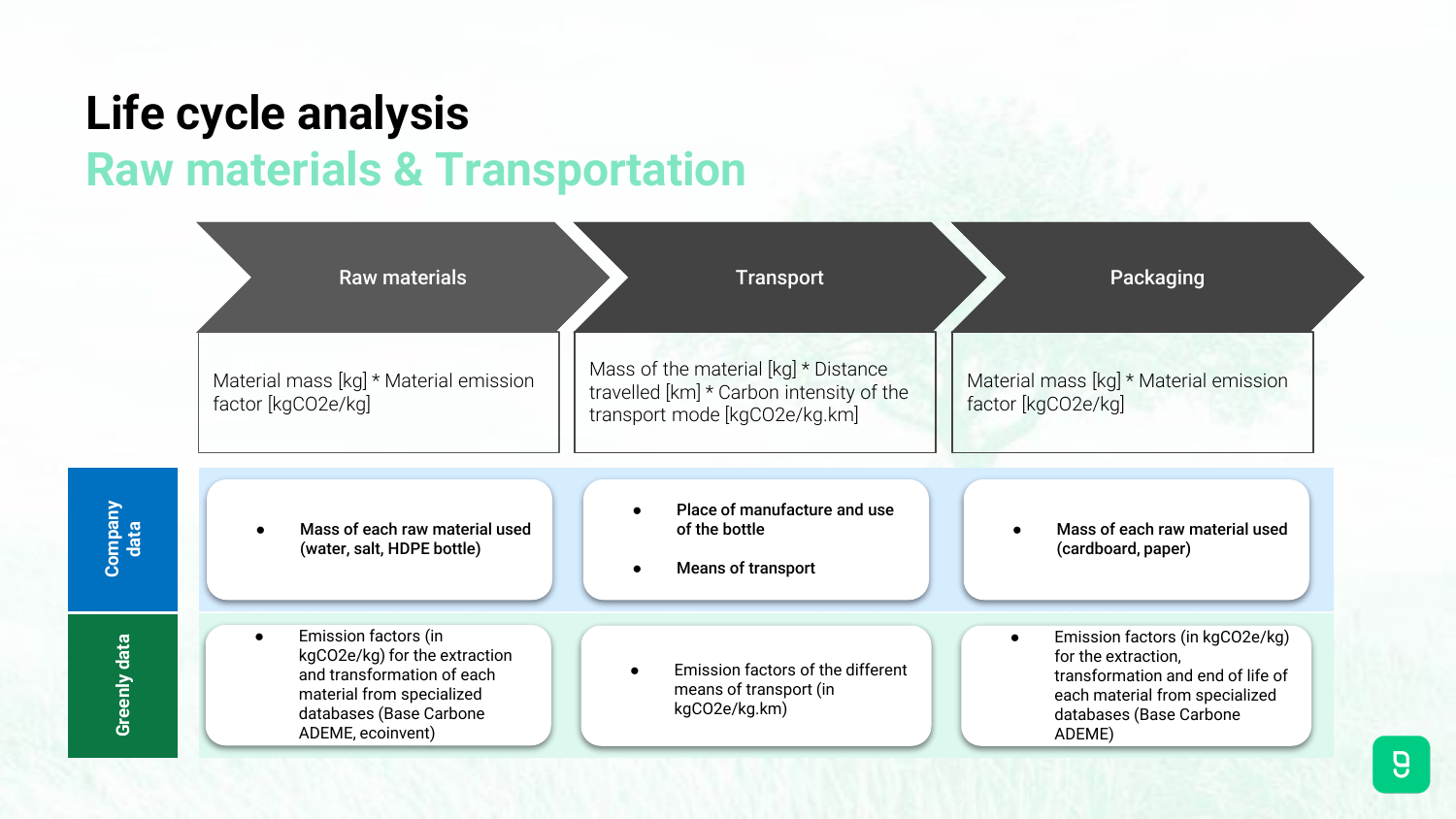# **Life cycle analysis Raw materials & Transportation**

**Company data**

**Greenly data**

Greenly data

| <b>Raw materials</b>                                                                                                                                                          | <b>Transport</b>                                                                                                  | Packaging                                                                                                                                                          |
|-------------------------------------------------------------------------------------------------------------------------------------------------------------------------------|-------------------------------------------------------------------------------------------------------------------|--------------------------------------------------------------------------------------------------------------------------------------------------------------------|
| Material mass [kg] * Material emission<br>factor [kgCO2e/kg]                                                                                                                  | Mass of the material [kg] * Distance<br>travelled [km] * Carbon intensity of the<br>transport mode [kgCO2e/kg.km] | Material mass [kg] * Material emission<br>factor [kgCO2e/kg]                                                                                                       |
| Mass of each raw material used<br>(water, salt, HDPE bottle)                                                                                                                  | Place of manufacture and use<br>of the bottle<br><b>Means of transport</b>                                        | Mass of each raw material used<br>(cardboard, paper)                                                                                                               |
| Emission factors (in<br>$\bullet$<br>kgCO2e/kg) for the extraction<br>and transformation of each<br>material from specialized<br>databases (Base Carbone<br>ADEME, ecoinvent) | Emission factors of the different<br>means of transport (in<br>kgCO2e/kg.km)                                      | Emission factors (in kgCO2e/kg)<br>for the extraction,<br>transformation and end of life of<br>each material from specialized<br>databases (Base Carbone<br>ADEME) |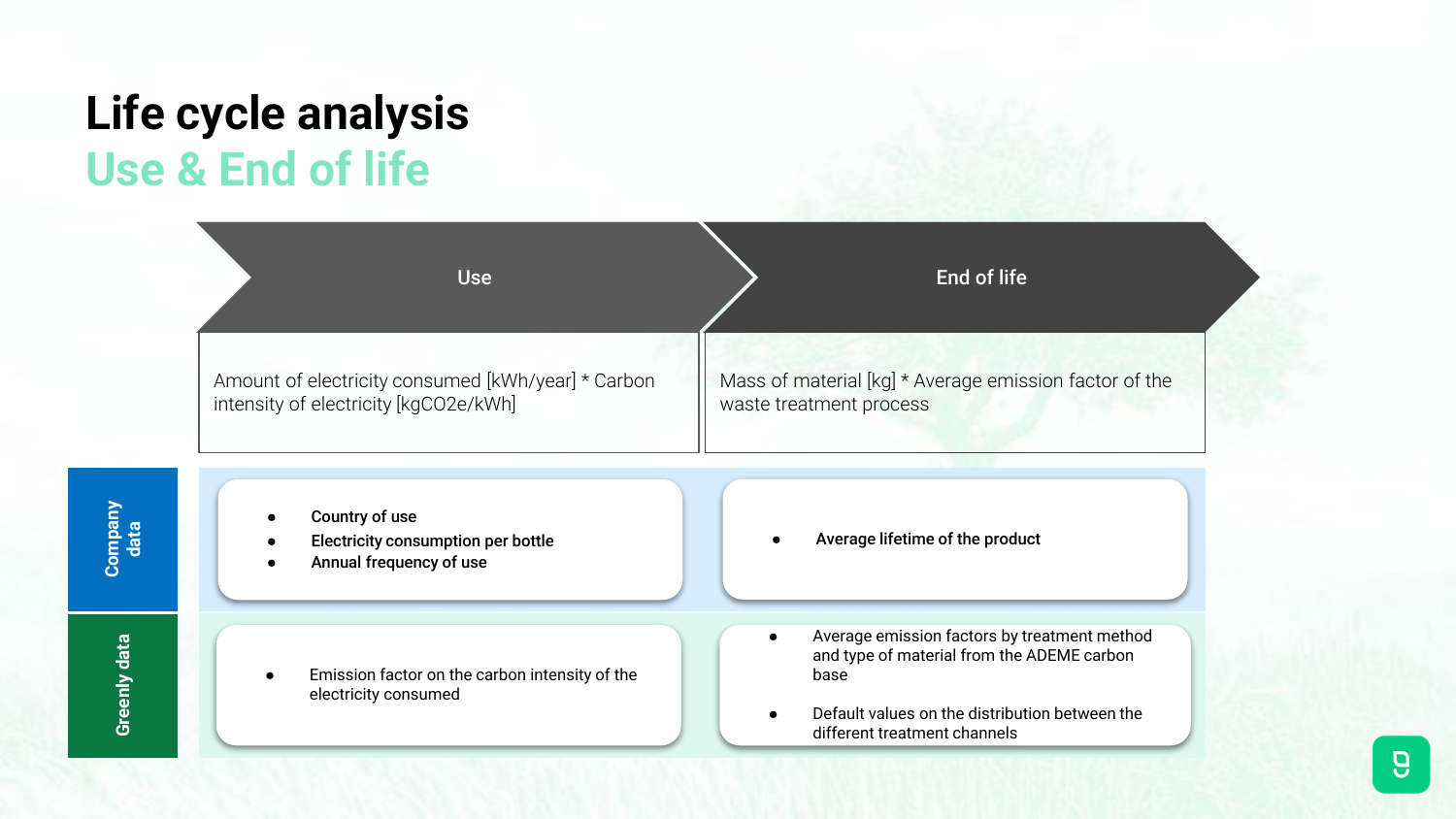# **Life cycle analysis Use & End of life**

| <b>Use</b>                                                                                  | End of life                                                                                                                                                                                       |
|---------------------------------------------------------------------------------------------|---------------------------------------------------------------------------------------------------------------------------------------------------------------------------------------------------|
| Amount of electricity consumed [kWh/year] * Carbon<br>intensity of electricity [kgCO2e/kWh] | Mass of material [kg] * Average emission factor of the<br>waste treatment process                                                                                                                 |
| Country of use<br>Electricity consumption per bottle<br>Annual frequency of use             | Average lifetime of the product                                                                                                                                                                   |
| Emission factor on the carbon intensity of the<br>electricity consumed                      | Average emission factors by treatment method<br>$\bullet$<br>and type of material from the ADEME carbon<br>base<br>Default values on the distribution between the<br>different treatment channels |

**Company data**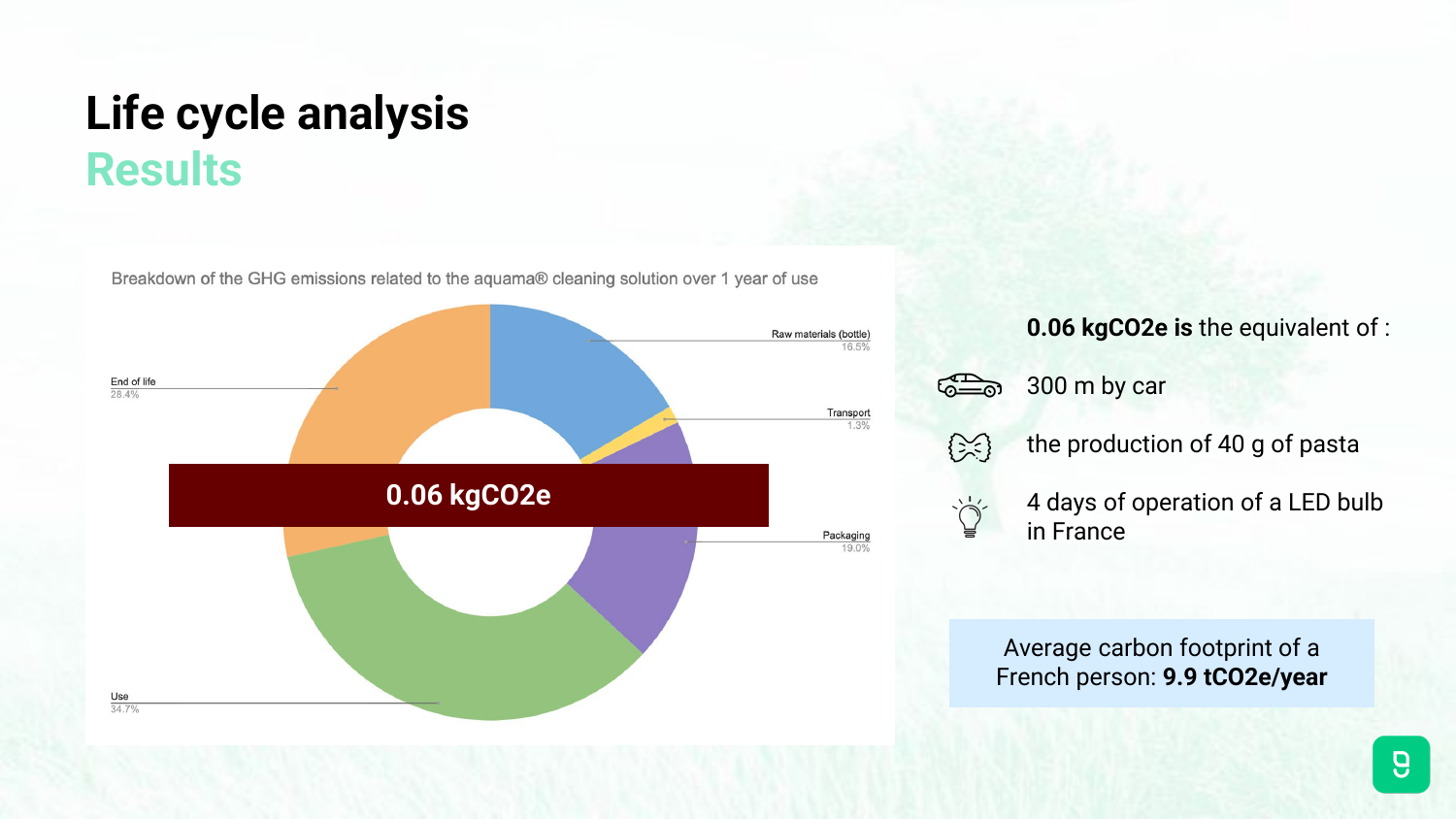### **Life cycle analysis Results**

Breakdown of the GHG emissions related to the aquama® cleaning solution over 1 year of use



#### **0.06 kgCO2e is** the equivalent of :



300 m by car



the production of 40 g of pasta

4 days of operation of a LED bulb in France

Average carbon footprint of a French person: **9.9 tCO2e/year**